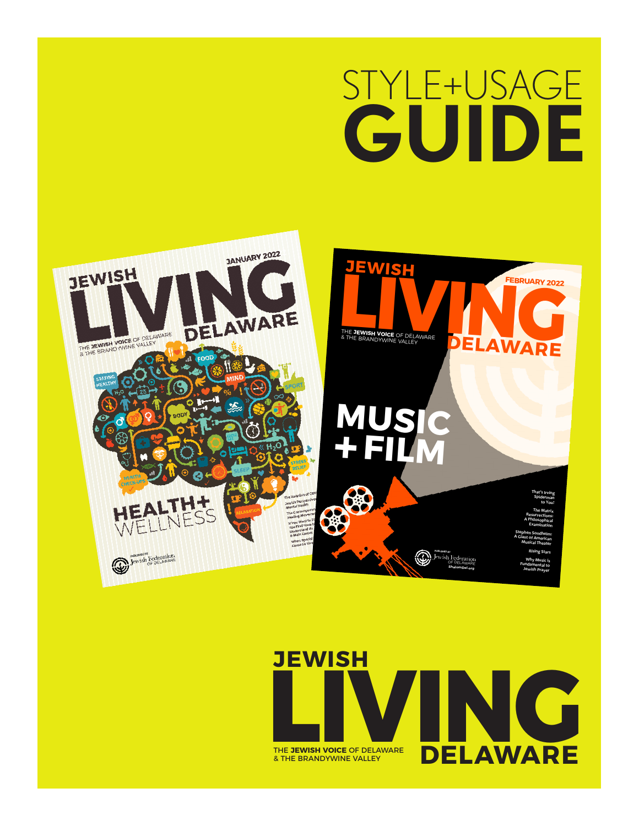# STYLE+USAG **GUIDE**



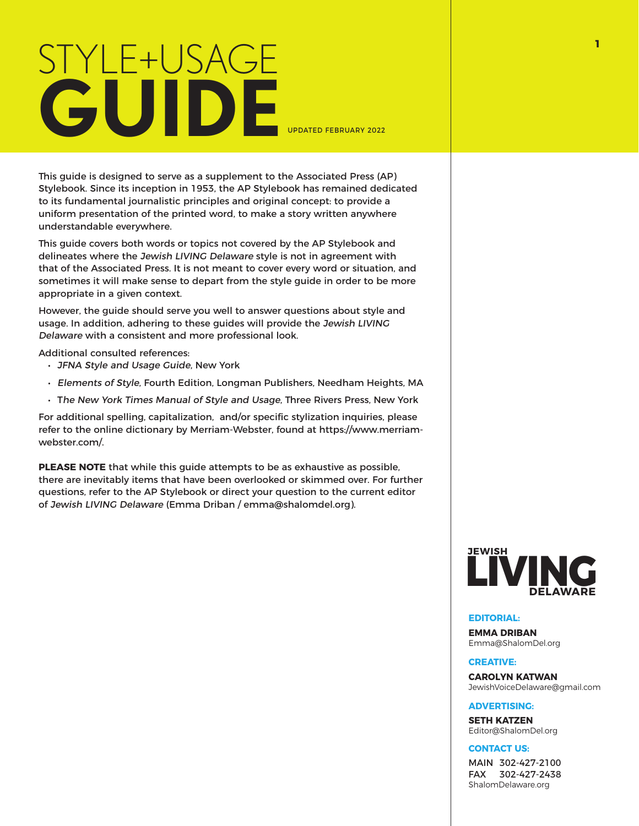# STYLE+USAGE **GUIDE**

UPDATED FEBRUARY 2022

This guide is designed to serve as a supplement to the Associated Press (AP) Stylebook. Since its inception in 1953, the AP Stylebook has remained dedicated to its fundamental journalistic principles and original concept: to provide a uniform presentation of the printed word, to make a story written anywhere understandable everywhere.

This guide covers both words or topics not covered by the AP Stylebook and delineates where the Jewish LIVING Delaware style is not in agreement with that of the Associated Press. It is not meant to cover every word or situation, and sometimes it will make sense to depart from the style guide in order to be more appropriate in a given context.

However, the guide should serve you well to answer questions about style and usage. In addition, adhering to these guides will provide the Jewish LIVING Delaware with a consistent and more professional look.

Additional consulted references:

- JFNA Style and Usage Guide, New York
- Elements of Style, Fourth Edition, Longman Publishers, Needham Heights, MA
- The New York Times Manual of Style and Usage, Three Rivers Press, New York

For additional spelling, capitalization, and/or specific stylization inquiries, please refer to the online dictionary by Merriam-Webster, found at https://www.merriamwebster.com/.

**PLEASE NOTE** that while this guide attempts to be as exhaustive as possible, there are inevitably items that have been overlooked or skimmed over. For further questions, refer to the AP Stylebook or direct your question to the current editor of Jewish LIVING Delaware (Emma Driban / emma@shalomdel.org).



#### **EDITORIAL:**

**EMMA DRIBAN** Emma@ShalomDel.org

#### **CREATIVE:**

**CAROLYN KATWAN** JewishVoiceDelaware@gmail.com

#### **ADVERTISING:**

**SETH KATZEN** Editor@ShalomDel.org

#### **CONTACT US:**

MAIN 302-427-2100 FAX 302-427-2438 ShalomDelaware.org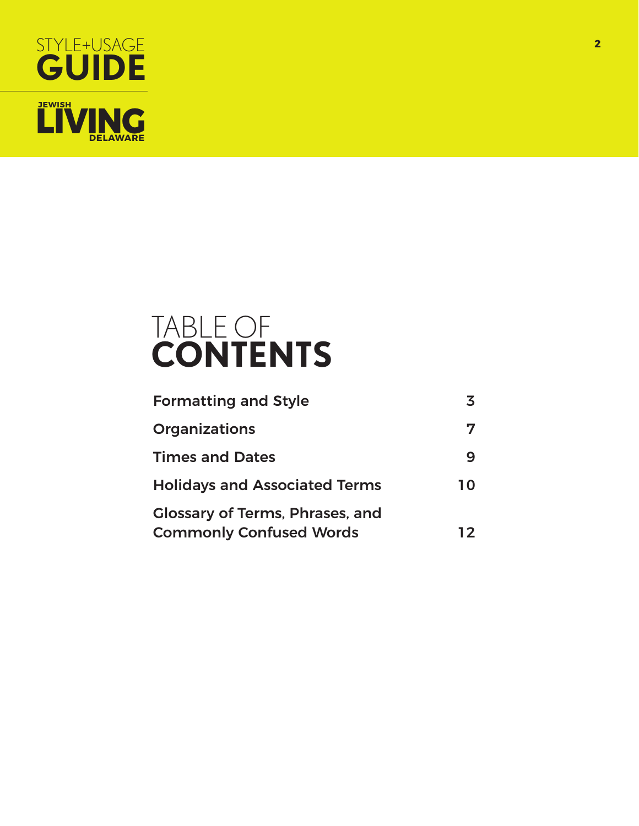

# TABLE OF **CONTENTS**

| <b>Formatting and Style</b>                                              |    |
|--------------------------------------------------------------------------|----|
| <b>Organizations</b>                                                     |    |
| <b>Times and Dates</b>                                                   | q  |
| <b>Holidays and Associated Terms</b>                                     | 10 |
| <b>Glossary of Terms, Phrases, and</b><br><b>Commonly Confused Words</b> | 12 |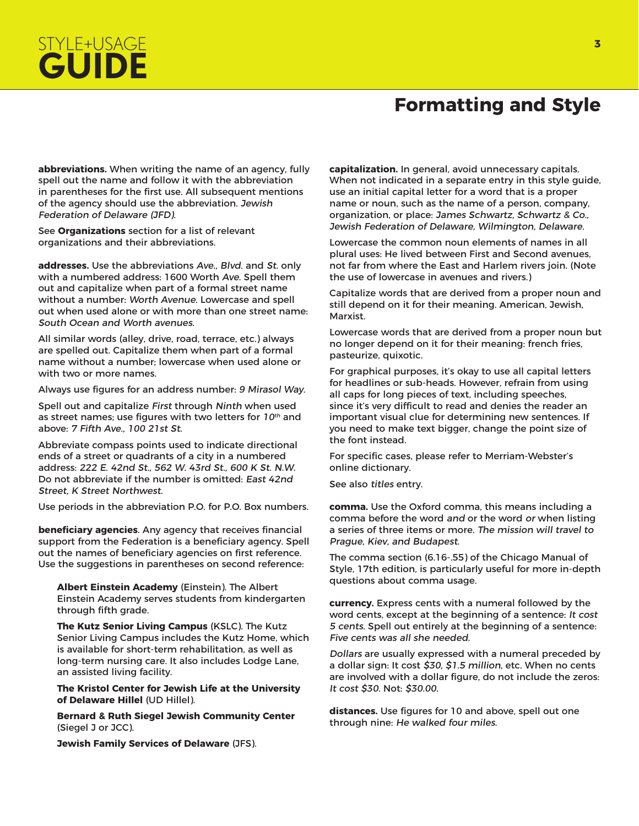## **Formatting and Style**

**abbreviations.** When writing the name of an agency, fully spell out the name and follow it with the abbreviation in parentheses for the first use. All subsequent mentions of the agency should use the abbreviation. Jewish Federation of Delaware (JFD).

See **Organizations** section for a list of relevant organizations and their abbreviations.

STYLE+USAGE

**GUIDE**

**addresses.** Use the abbreviations Ave., Blvd. and St. only with a numbered address: 1600 Worth Ave. Spell them out and capitalize when part of a formal street name without a number: Worth Avenue. Lowercase and spell out when used alone or with more than one street name: South Ocean and Worth avenues.

All similar words (alley, drive, road, terrace, etc.) always are spelled out. Capitalize them when part of a formal name without a number; lowercase when used alone or with two or more names.

Always use figures for an address number: 9 Mirasol Way.

Spell out and capitalize First through Ninth when used as street names; use figures with two letters for  $10<sup>th</sup>$  and above: 7 Fifth Ave., 100 21st St.

Abbreviate compass points used to indicate directional ends of a street or quadrants of a city in a numbered address: 222 E. 42nd St., 562 W. 43rd St., 600 K St. N.W. Do not abbreviate if the number is omitted: East 42nd Street, K Street Northwest.

Use periods in the abbreviation P.O. for P.O. Box numbers.

**beneficiary agencies**. Any agency that receives financial support from the Federation is a beneficiary agency. Spell out the names of beneficiary agencies on first reference. Use the suggestions in parentheses on second reference:

**Albert Einstein Academy** (Einstein). The Albert Einstein Academy serves students from kindergarten through fifth grade.

**The Kutz Senior Living Campus** (KSLC). The Kutz Senior Living Campus includes the Kutz Home, which is available for short-term rehabilitation, as well as long-term nursing care. It also includes Lodge Lane, an assisted living facility.

**The Kristol Center for Jewish Life at the University of Delaware Hillel** (UD Hillel).

**Bernard & Ruth Siegel Jewish Community Center**  (Siegel J or JCC).

**Jewish Family Services of Delaware** (JFS).

**capitalization.** In general, avoid unnecessary capitals. When not indicated in a separate entry in this style guide, use an initial capital letter for a word that is a proper name or noun, such as the name of a person, company, organization, or place: James Schwartz, Schwartz & Co., Jewish Federation of Delaware, Wilmington, Delaware.

Lowercase the common noun elements of names in all plural uses: He lived between First and Second avenues, not far from where the East and Harlem rivers join. (Note the use of lowercase in avenues and rivers.)

Capitalize words that are derived from a proper noun and still depend on it for their meaning. American, Jewish, Marxist.

Lowercase words that are derived from a proper noun but no longer depend on it for their meaning: french fries, pasteurize, quixotic.

For graphical purposes, it's okay to use all capital letters for headlines or sub-heads. However, refrain from using all caps for long pieces of text, including speeches, since it's very difficult to read and denies the reader an important visual clue for determining new sentences. If you need to make text bigger, change the point size of the font instead.

For specific cases, please refer to Merriam-Webster's online dictionary.

See also titles entry.

**comma.** Use the Oxford comma, this means including a comma before the word and or the word or when listing a series of three items or more. The mission will travel to Prague, Kiev, and Budapest.

The comma section (6.16-.55) of the Chicago Manual of Style, 17th edition, is particularly useful for more in-depth questions about comma usage.

**currency.** Express cents with a numeral followed by the word cents, except at the beginning of a sentence: It cost 5 cents. Spell out entirely at the beginning of a sentence: Five cents was all she needed.

Dollars are usually expressed with a numeral preceded by a dollar sign: It cost \$30, \$1.5 million, etc. When no cents are involved with a dollar figure, do not include the zeros: It cost \$30. Not: \$30.00.

**distances.** Use figures for 10 and above, spell out one through nine: He walked four miles.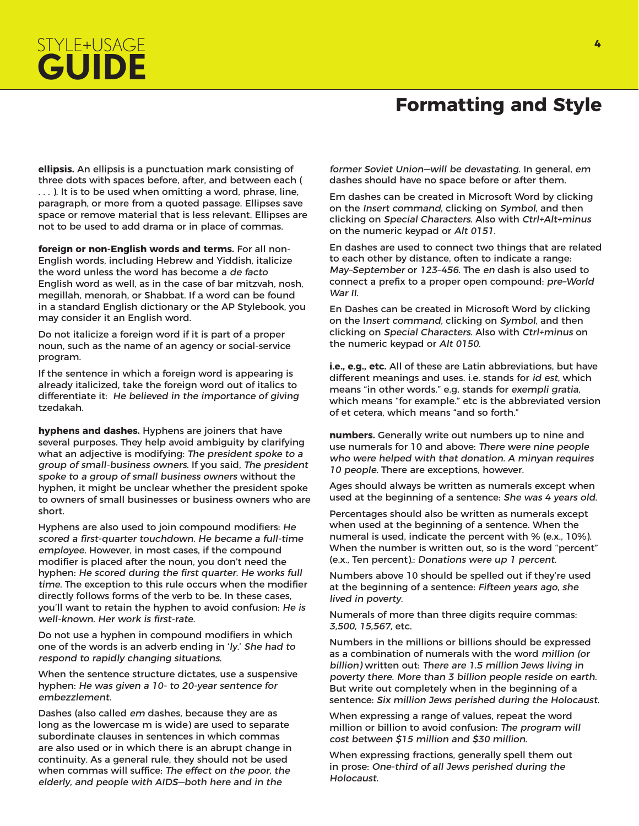# STYLE+USAGE **GUIDE**

#### **Formatting and Style**

**ellipsis.** An ellipsis is a punctuation mark consisting of three dots with spaces before, after, and between each ( . . . ). It is to be used when omitting a word, phrase, line, paragraph, or more from a quoted passage. Ellipses save space or remove material that is less relevant. Ellipses are not to be used to add drama or in place of commas.

**foreign or non-English words and terms.** For all non-English words, including Hebrew and Yiddish, italicize the word unless the word has become a de facto English word as well, as in the case of bar mitzvah, nosh, megillah, menorah, or Shabbat. If a word can be found in a standard English dictionary or the AP Stylebook, you may consider it an English word.

Do not italicize a foreign word if it is part of a proper noun, such as the name of an agency or social-service program.

If the sentence in which a foreign word is appearing is already italicized, take the foreign word out of italics to differentiate it: He believed in the importance of giving tzedakah.

**hyphens and dashes.** Hyphens are joiners that have several purposes. They help avoid ambiguity by clarifying what an adjective is modifying: The president spoke to a group of small-business owners. If you said, The president spoke to a group of small business owners without the hyphen, it might be unclear whether the president spoke to owners of small businesses or business owners who are short.

Hyphens are also used to join compound modifiers: He scored a first-quarter touchdown. He became a full-time employee. However, in most cases, if the compound modifier is placed after the noun, you don't need the hyphen: He scored during the first quarter. He works full time. The exception to this rule occurs when the modifier directly follows forms of the verb to be. In these cases, you'll want to retain the hyphen to avoid confusion: He is well-known. Her work is first-rate.

Do not use a hyphen in compound modifiers in which one of the words is an adverb ending in 'ly.' She had to respond to rapidly changing situations.

When the sentence structure dictates, use a suspensive hyphen: He was given a 10- to 20-year sentence for embezzlement.

Dashes (also called em dashes, because they are as long as the lowercase m is wide) are used to separate subordinate clauses in sentences in which commas are also used or in which there is an abrupt change in continuity. As a general rule, they should not be used when commas will suffice: The effect on the poor, the elderly, and people with AIDS—both here and in the

former Soviet Union—will be devastating. In general, em dashes should have no space before or after them.

Em dashes can be created in Microsoft Word by clicking on the Insert command, clicking on Symbol, and then clicking on Special Characters. Also with Ctrl+Alt+minus on the numeric keypad or Alt 0151.

En dashes are used to connect two things that are related to each other by distance, often to indicate a range: May–September or 123–456. The en dash is also used to connect a prefix to a proper open compound: pre–World War II.

En Dashes can be created in Microsoft Word by clicking on the Insert command, clicking on Symbol, and then clicking on Special Characters. Also with Ctrl+minus on the numeric keypad or Alt 0150.

**i.e., e.g., etc.** All of these are Latin abbreviations, but have different meanings and uses. i.e. stands for id est, which means "in other words." e.g. stands for exempli gratia, which means "for example." etc is the abbreviated version of et cetera, which means "and so forth."

**numbers.** Generally write out numbers up to nine and use numerals for 10 and above: There were nine people who were helped with that donation. A minyan requires 10 people. There are exceptions, however.

Ages should always be written as numerals except when used at the beginning of a sentence: She was 4 years old.

Percentages should also be written as numerals except when used at the beginning of a sentence. When the numeral is used, indicate the percent with % (e.x., 10%). When the number is written out, so is the word "percent" (e.x., Ten percent).: Donations were up 1 percent.

Numbers above 10 should be spelled out if they're used at the beginning of a sentence: Fifteen years ago, she lived in poverty.

Numerals of more than three digits require commas: 3,500, 15,567, etc.

Numbers in the millions or billions should be expressed as a combination of numerals with the word million (or billion) written out: There are 1.5 million Jews living in poverty there. More than 3 billion people reside on earth. But write out completely when in the beginning of a sentence: Six million Jews perished during the Holocaust.

When expressing a range of values, repeat the word million or billion to avoid confusion: The program will cost between \$15 million and \$30 million.

When expressing fractions, generally spell them out in prose: One-third of all Jews perished during the Holocaust.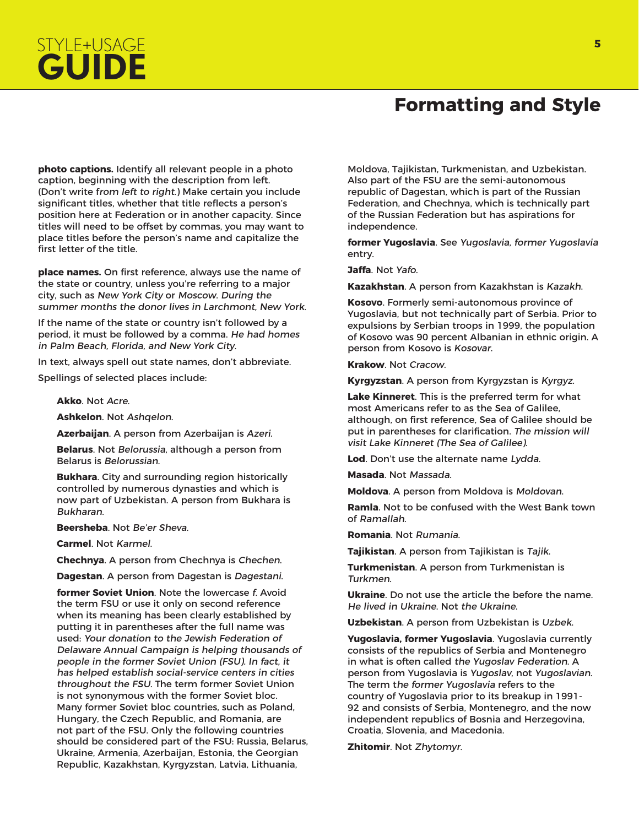# STYLE+USAGE **<sup>5</sup> GUIDE**

#### **Formatting and Style**

**photo captions.** Identify all relevant people in a photo caption, beginning with the description from left. (Don't write from left to right.) Make certain you include significant titles, whether that title reflects a person's position here at Federation or in another capacity. Since titles will need to be offset by commas, you may want to place titles before the person's name and capitalize the first letter of the title.

**place names.** On first reference, always use the name of the state or country, unless you're referring to a major city, such as New York City or Moscow. During the summer months the donor lives in Larchmont. New York.

If the name of the state or country isn't followed by a period, it must be followed by a comma. He had homes in Palm Beach, Florida, and New York City.

In text, always spell out state names, don't abbreviate.

Spellings of selected places include:

**Akko**. Not Acre.

**Ashkelon**. Not Ashqelon.

**Azerbaijan**. A person from Azerbaijan is Azeri.

**Belarus**. Not Belorussia, although a person from Belarus is Belorussian.

**Bukhara**. City and surrounding region historically controlled by numerous dynasties and which is now part of Uzbekistan. A person from Bukhara is Bukharan.

**Beersheba**. Not Be'er Sheva.

**Carmel**. Not Karmel.

**Chechnya**. A person from Chechnya is Chechen.

**Dagestan**. A person from Dagestan is Dagestani.

**former Soviet Union**. Note the lowercase f. Avoid the term FSU or use it only on second reference when its meaning has been clearly established by putting it in parentheses after the full name was used: Your donation to the Jewish Federation of Delaware Annual Campaign is helping thousands of people in the former Soviet Union (FSU). In fact, it has helped establish social-service centers in cities throughout the FSU. The term former Soviet Union is not synonymous with the former Soviet bloc. Many former Soviet bloc countries, such as Poland, Hungary, the Czech Republic, and Romania, are not part of the FSU. Only the following countries should be considered part of the FSU: Russia, Belarus, Ukraine, Armenia, Azerbaijan, Estonia, the Georgian Republic, Kazakhstan, Kyrgyzstan, Latvia, Lithuania,

Moldova, Tajikistan, Turkmenistan, and Uzbekistan. Also part of the FSU are the semi-autonomous republic of Dagestan, which is part of the Russian Federation, and Chechnya, which is technically part of the Russian Federation but has aspirations for independence.

**former Yugoslavia**. See Yugoslavia, former Yugoslavia entry.

**Jaffa**. Not Yafo.

**Kazakhstan**. A person from Kazakhstan is Kazakh.

**Kosovo**. Formerly semi-autonomous province of Yugoslavia, but not technically part of Serbia. Prior to expulsions by Serbian troops in 1999, the population of Kosovo was 90 percent Albanian in ethnic origin. A person from Kosovo is Kosovar.

**Krakow**. Not Cracow.

**Kyrgyzstan**. A person from Kyrgyzstan is Kyrgyz.

**Lake Kinneret**. This is the preferred term for what most Americans refer to as the Sea of Galilee, although, on first reference, Sea of Galilee should be put in parentheses for clarification. The mission will visit Lake Kinneret (The Sea of Galilee).

**Lod**. Don't use the alternate name Lydda.

**Masada**. Not Massada.

**Moldova**. A person from Moldova is Moldovan.

**Ramla**. Not to be confused with the West Bank town of Ramallah.

**Romania**. Not Rumania.

**Tajikistan**. A person from Tajikistan is Tajik.

**Turkmenistan**. A person from Turkmenistan is Turkmen.

**Ukraine**. Do not use the article the before the name. He lived in Ukraine. Not the Ukraine.

**Uzbekistan**. A person from Uzbekistan is Uzbek.

**Yugoslavia, former Yugoslavia**. Yugoslavia currently consists of the republics of Serbia and Montenegro in what is often called the Yugoslav Federation. A person from Yugoslavia is Yugoslav, not Yugoslavian. The term the former Yugoslavia refers to the country of Yugoslavia prior to its breakup in 1991- 92 and consists of Serbia, Montenegro, and the now independent republics of Bosnia and Herzegovina, Croatia, Slovenia, and Macedonia.

**Zhitomir**. Not Zhytomyr.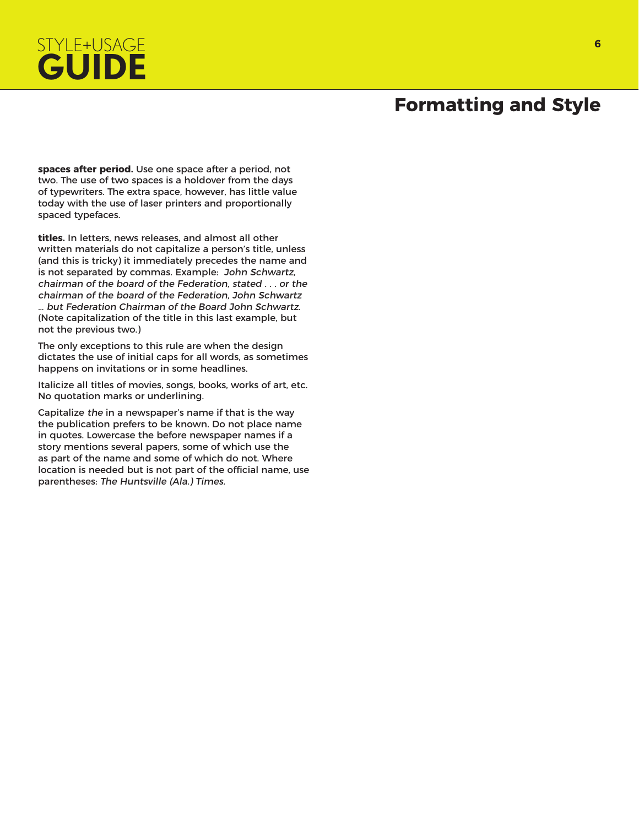# STYLE+USAGE **<sup>6</sup> GUIDE**

### **Formatting and Style**

**spaces after period.** Use one space after a period, not two. The use of two spaces is a holdover from the days of typewriters. The extra space, however, has little value today with the use of laser printers and proportionally spaced typefaces.

**titles.** In letters, news releases, and almost all other written materials do not capitalize a person's title, unless (and this is tricky) it immediately precedes the name and is not separated by commas. Example: John Schwartz, chairman of the board of the Federation, stated . . . or the chairman of the board of the Federation, John Schwartz … but Federation Chairman of the Board John Schwartz. (Note capitalization of the title in this last example, but not the previous two.)

The only exceptions to this rule are when the design dictates the use of initial caps for all words, as sometimes happens on invitations or in some headlines.

Italicize all titles of movies, songs, books, works of art, etc. No quotation marks or underlining.

Capitalize the in a newspaper's name if that is the way the publication prefers to be known. Do not place name in quotes. Lowercase the before newspaper names if a story mentions several papers, some of which use the as part of the name and some of which do not. Where location is needed but is not part of the official name, use parentheses: The Huntsville (Ala.) Times.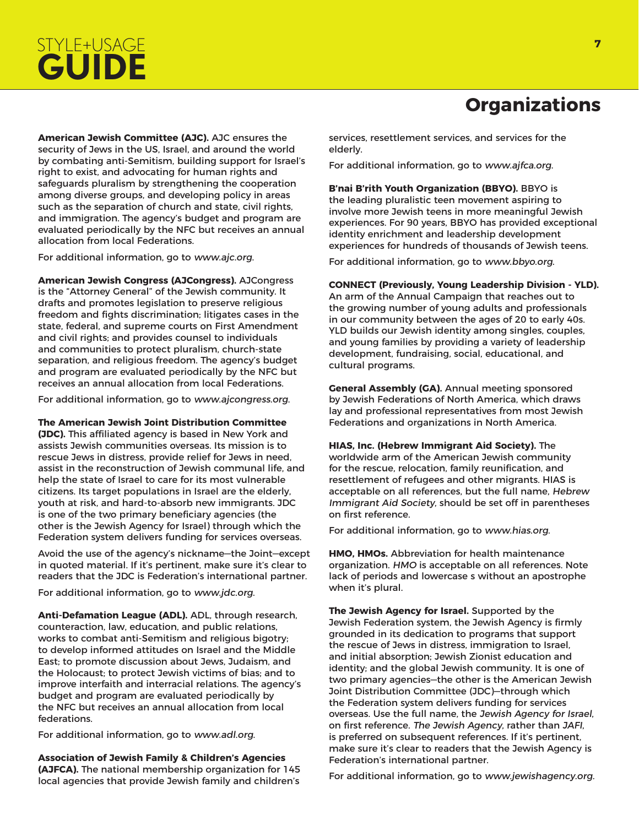

**American Jewish Committee (AJC).** AJC ensures the security of Jews in the US, Israel, and around the world by combating anti-Semitism, building support for Israel's right to exist, and advocating for human rights and safeguards pluralism by strengthening the cooperation among diverse groups, and developing policy in areas such as the separation of church and state, civil rights, and immigration. The agency's budget and program are evaluated periodically by the NFC but receives an annual allocation from local Federations.

For additional information, go to www.ajc.org.

**American Jewish Congress (AJCongress).** AJCongress is the "Attorney General" of the Jewish community. It drafts and promotes legislation to preserve religious freedom and fights discrimination; litigates cases in the state, federal, and supreme courts on First Amendment and civil rights; and provides counsel to individuals and communities to protect pluralism, church-state separation, and religious freedom. The agency's budget and program are evaluated periodically by the NFC but receives an annual allocation from local Federations.

For additional information, go to www.ajcongress.org.

**The American Jewish Joint Distribution Committee (JDC).** This affiliated agency is based in New York and assists Jewish communities overseas. Its mission is to rescue Jews in distress, provide relief for Jews in need, assist in the reconstruction of Jewish communal life, and help the state of Israel to care for its most vulnerable citizens. Its target populations in Israel are the elderly, youth at risk, and hard-to-absorb new immigrants. JDC is one of the two primary beneficiary agencies (the other is the Jewish Agency for Israel) through which the Federation system delivers funding for services overseas.

Avoid the use of the agency's nickname—the Joint—except in quoted material. If it's pertinent, make sure it's clear to readers that the JDC is Federation's international partner.

For additional information, go to www.jdc.org.

**Anti-Defamation League (ADL).** ADL, through research, counteraction, law, education, and public relations, works to combat anti-Semitism and religious bigotry; to develop informed attitudes on Israel and the Middle East; to promote discussion about Jews, Judaism, and the Holocaust; to protect Jewish victims of bias; and to improve interfaith and interracial relations. The agency's budget and program are evaluated periodically by the NFC but receives an annual allocation from local federations.

For additional information, go to www.adl.org.

**Association of Jewish Family & Children's Agencies (AJFCA).** The national membership organization for 145 local agencies that provide Jewish family and children's

# **Organizations**

services, resettlement services, and services for the elderly.

For additional information, go to www.ajfca.org.

**B'nai B'rith Youth Organization (BBYO).** BBYO is the leading pluralistic teen movement aspiring to involve more Jewish teens in more meaningful Jewish experiences. For 90 years, BBYO has provided exceptional identity enrichment and leadership development experiences for hundreds of thousands of Jewish teens.

For additional information, go to www.bbyo.org.

**CONNECT (Previously, Young Leadership Division - YLD).**  An arm of the Annual Campaign that reaches out to the growing number of young adults and professionals in our community between the ages of 20 to early 40s. YLD builds our Jewish identity among singles, couples, and young families by providing a variety of leadership development, fundraising, social, educational, and cultural programs.

**General Assembly (GA).** Annual meeting sponsored by Jewish Federations of North America, which draws lay and professional representatives from most Jewish Federations and organizations in North America.

**HIAS, Inc. (Hebrew Immigrant Aid Society).** The worldwide arm of the American Jewish community for the rescue, relocation, family reunification, and resettlement of refugees and other migrants. HIAS is acceptable on all references, but the full name, Hebrew Immigrant Aid Society, should be set off in parentheses on first reference.

For additional information, go to www.hias.org.

**HMO, HMOs.** Abbreviation for health maintenance organization. HMO is acceptable on all references. Note lack of periods and lowercase s without an apostrophe when it's plural.

**The Jewish Agency for Israel.** Supported by the Jewish Federation system, the Jewish Agency is firmly grounded in its dedication to programs that support the rescue of Jews in distress, immigration to Israel, and initial absorption; Jewish Zionist education and identity; and the global Jewish community. It is one of two primary agencies—the other is the American Jewish Joint Distribution Committee (JDC)—through which the Federation system delivers funding for services overseas. Use the full name, the Jewish Agency for Israel, on first reference. The Jewish Agency, rather than JAFI, is preferred on subsequent references. If it's pertinent, make sure it's clear to readers that the Jewish Agency is Federation's international partner.

For additional information, go to www.jewishagency.org.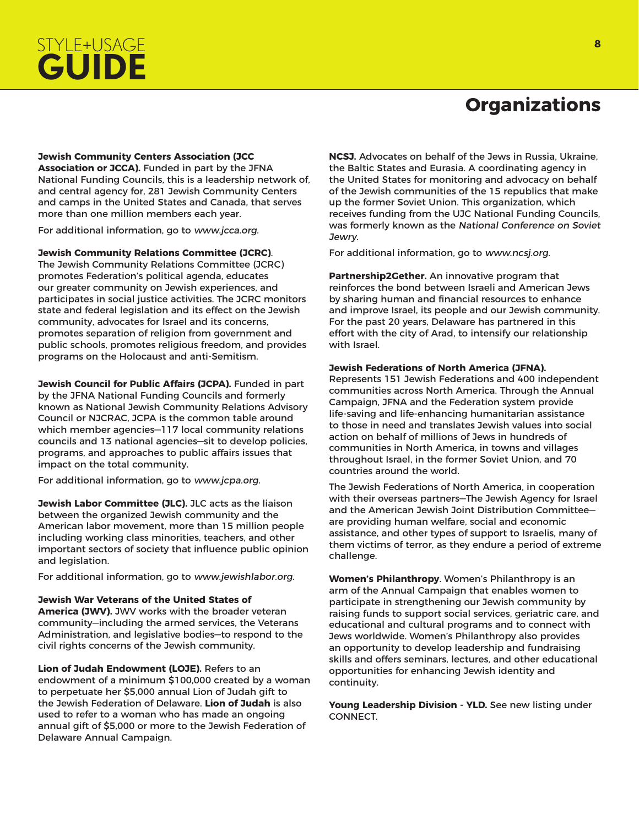# STYLE+USAGE **<sup>8</sup> GUIDE**

## **Organizations**

**Jewish Community Centers Association (JCC Association or JCCA).** Funded in part by the JFNA National Funding Councils, this is a leadership network of,

and central agency for, 281 Jewish Community Centers and camps in the United States and Canada, that serves more than one million members each year.

For additional information, go to www.jcca.org.

**Jewish Community Relations Committee (JCRC)**. The Jewish Community Relations Committee (JCRC) promotes Federation's political agenda, educates our greater community on Jewish experiences, and participates in social justice activities. The JCRC monitors state and federal legislation and its effect on the Jewish community, advocates for Israel and its concerns, promotes separation of religion from government and public schools, promotes religious freedom, and provides

**Jewish Council for Public Affairs (JCPA).** Funded in part by the JFNA National Funding Councils and formerly known as National Jewish Community Relations Advisory Council or NJCRAC, JCPA is the common table around which member agencies—117 local community relations councils and 13 national agencies—sit to develop policies, programs, and approaches to public affairs issues that impact on the total community.

For additional information, go to www.jcpa.org.

programs on the Holocaust and anti-Semitism.

**Jewish Labor Committee (JLC).** JLC acts as the liaison between the organized Jewish community and the American labor movement, more than 15 million people including working class minorities, teachers, and other important sectors of society that influence public opinion and legislation.

For additional information, go to www.jewishlabor.org.

**Jewish War Veterans of the United States of** 

**America (JWV).** JWV works with the broader veteran community—including the armed services, the Veterans Administration, and legislative bodies—to respond to the civil rights concerns of the Jewish community.

**Lion of Judah Endowment (LOJE).** Refers to an endowment of a minimum \$100,000 created by a woman to perpetuate her \$5,000 annual Lion of Judah gift to the Jewish Federation of Delaware. **Lion of Judah** is also used to refer to a woman who has made an ongoing annual gift of \$5,000 or more to the Jewish Federation of Delaware Annual Campaign.

**NCSJ.** Advocates on behalf of the Jews in Russia, Ukraine, the Baltic States and Eurasia. A coordinating agency in the United States for monitoring and advocacy on behalf of the Jewish communities of the 15 republics that make up the former Soviet Union. This organization, which receives funding from the UJC National Funding Councils, was formerly known as the National Conference on Soviet Jewry.

For additional information, go to www.ncsj.org.

**Partnership2Gether.** An innovative program that reinforces the bond between Israeli and American Jews by sharing human and financial resources to enhance and improve Israel, its people and our Jewish community. For the past 20 years, Delaware has partnered in this effort with the city of Arad, to intensify our relationship with Israel.

#### **Jewish Federations of North America (JFNA).**

Represents 151 Jewish Federations and 400 independent communities across North America. Through the Annual Campaign, JFNA and the Federation system provide life-saving and life-enhancing humanitarian assistance to those in need and translates Jewish values into social action on behalf of millions of Jews in hundreds of communities in North America, in towns and villages throughout Israel, in the former Soviet Union, and 70 countries around the world.

The Jewish Federations of North America, in cooperation with their overseas partners—The Jewish Agency for Israel and the American Jewish Joint Distribution Committee are providing human welfare, social and economic assistance, and other types of support to Israelis, many of them victims of terror, as they endure a period of extreme challenge.

**Women's Philanthropy**. Women's Philanthropy is an arm of the Annual Campaign that enables women to participate in strengthening our Jewish community by raising funds to support social services, geriatric care, and educational and cultural programs and to connect with Jews worldwide. Women's Philanthropy also provides an opportunity to develop leadership and fundraising skills and offers seminars, lectures, and other educational opportunities for enhancing Jewish identity and continuity.

**Young Leadership Division - YLD.** See new listing under CONNECT.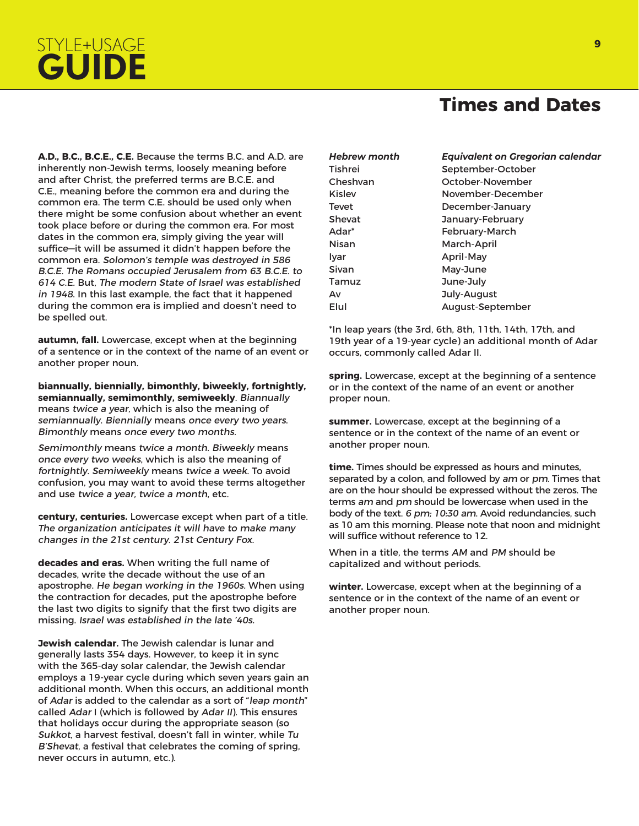# STYLE+USAGE **<sup>9</sup> GUIDE**

#### **Times and Dates**

**A.D., B.C., B.C.E., C.E.** Because the terms B.C. and A.D. are inherently non-Jewish terms, loosely meaning before and after Christ, the preferred terms are B.C.E. and C.E., meaning before the common era and during the common era. The term C.E. should be used only when there might be some confusion about whether an event took place before or during the common era. For most dates in the common era, simply giving the year will suffice—it will be assumed it didn't happen before the common era. Solomon's temple was destroyed in 586 B.C.E. The Romans occupied Jerusalem from 63 B.C.E. to 614 C.E. But, The modern State of Israel was established in 1948. In this last example, the fact that it happened during the common era is implied and doesn't need to be spelled out.

**autumn, fall.** Lowercase, except when at the beginning of a sentence or in the context of the name of an event or another proper noun.

**biannually, biennially, bimonthly, biweekly, fortnightly, semiannually, semimonthly, semiweekly**. Biannually means twice a year, which is also the meaning of semiannually. Biennially means once every two years. Bimonthly means once every two months.

Semimonthly means twice a month. Biweekly means once every two weeks, which is also the meaning of fortnightly. Semiweekly means twice a week. To avoid confusion, you may want to avoid these terms altogether and use twice a year, twice a month, etc.

**century, centuries.** Lowercase except when part of a title. The organization anticipates it will have to make many changes in the 21st century. 21st Century Fox.

**decades and eras.** When writing the full name of decades, write the decade without the use of an apostrophe. He began working in the 1960s. When using the contraction for decades, put the apostrophe before the last two digits to signify that the first two digits are missing. Israel was established in the late '40s.

**Jewish calendar.** The Jewish calendar is lunar and generally lasts 354 days. However, to keep it in sync with the 365-day solar calendar, the Jewish calendar employs a 19-year cycle during which seven years gain an additional month. When this occurs, an additional month of Adar is added to the calendar as a sort of "leap month" called Adar I (which is followed by Adar II). This ensures that holidays occur during the appropriate season (so Sukkot, a harvest festival, doesn't fall in winter, while Tu B'Shevat, a festival that celebrates the coming of spring, never occurs in autumn, etc.).

| Hebrew month | Equivalent on Gregorian calendar |
|--------------|----------------------------------|
| Tishrei      | September-October                |
| Cheshvan     | October-November                 |
| Kislev       | November-December                |
| Tevet        | December-January                 |
| Shevat       | January-February                 |
| Adar*        | February-March                   |
| Nisan        | March-April                      |
| Iyar         | April-May                        |
| Sivan        | May-June                         |
| Tamuz        | June-July                        |
| Av           | July-August                      |
| Elul         | August-September                 |
|              |                                  |

\*In leap years (the 3rd, 6th, 8th, 11th, 14th, 17th, and 19th year of a 19-year cycle) an additional month of Adar occurs, commonly called Adar II.

**spring.** Lowercase, except at the beginning of a sentence or in the context of the name of an event or another proper noun.

**summer.** Lowercase, except at the beginning of a sentence or in the context of the name of an event or another proper noun.

**time.** Times should be expressed as hours and minutes, separated by a colon, and followed by am or pm. Times that are on the hour should be expressed without the zeros. The terms am and pm should be lowercase when used in the body of the text. 6 pm; 10:30 am. Avoid redundancies, such as 10 am this morning. Please note that noon and midnight will suffice without reference to 12.

When in a title, the terms AM and PM should be capitalized and without periods.

**winter.** Lowercase, except when at the beginning of a sentence or in the context of the name of an event or another proper noun.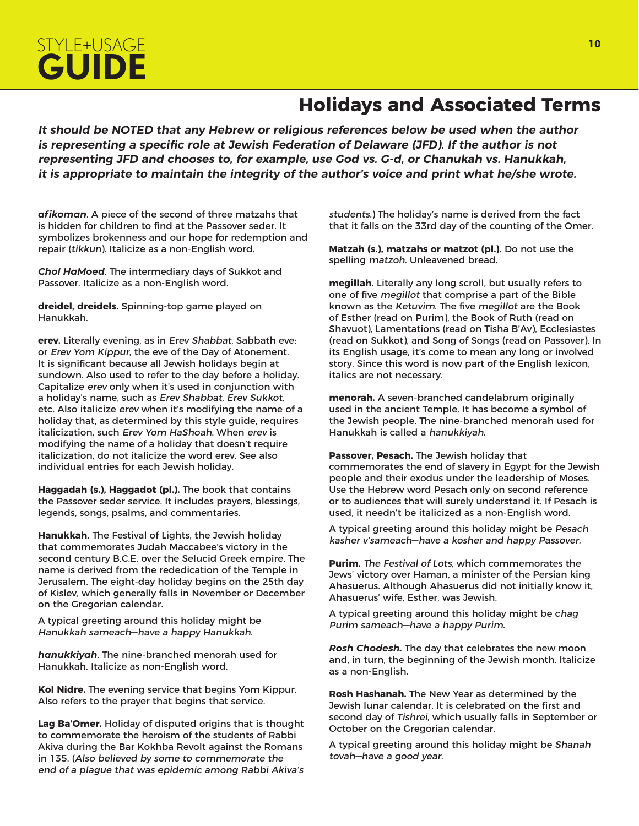

#### **Holidays and Associated Terms**

**It should be NOTED that any Hebrew or religious references below be used when the author is representing a specific role at Jewish Federation of Delaware (JFD). If the author is not representing JFD and chooses to, for example, use God vs. G-d, or Chanukah vs. Hanukkah, it is appropriate to maintain the integrity of the author's voice and print what he/she wrote.**

*afikoman*. A piece of the second of three matzahs that is hidden for children to find at the Passover seder. It symbolizes brokenness and our hope for redemption and repair (tikkun). Italicize as a non-English word.

*Chol HaMoed*. The intermediary days of Sukkot and Passover. Italicize as a non-English word.

**dreidel, dreidels.** Spinning-top game played on Hanukkah.

**erev.** Literally evening, as in Erev Shabbat, Sabbath eve; or Erev Yom Kippur, the eve of the Day of Atonement. It is significant because all Jewish holidays begin at sundown. Also used to refer to the day before a holiday. Capitalize erev only when it's used in conjunction with a holiday's name, such as Erev Shabbat, Erev Sukkot, etc. Also italicize erev when it's modifying the name of a holiday that, as determined by this style guide, requires italicization, such Erev Yom HaShoah. When erev is modifying the name of a holiday that doesn't require italicization, do not italicize the word erev. See also individual entries for each Jewish holiday.

**Haggadah (s.), Haggadot (pl.).** The book that contains the Passover seder service. It includes prayers, blessings, legends, songs, psalms, and commentaries.

**Hanukkah.** The Festival of Lights, the Jewish holiday that commemorates Judah Maccabee's victory in the second century B.C.E. over the Selucid Greek empire. The name is derived from the rededication of the Temple in Jerusalem. The eight-day holiday begins on the 25th day of Kislev, which generally falls in November or December on the Gregorian calendar.

A typical greeting around this holiday might be Hanukkah sameach—have a happy Hanukkah.

*hanukkiyah*. The nine-branched menorah used for Hanukkah. Italicize as non-English word.

**Kol Nidre.** The evening service that begins Yom Kippur. Also refers to the prayer that begins that service.

**Lag Ba'Omer.** Holiday of disputed origins that is thought to commemorate the heroism of the students of Rabbi Akiva during the Bar Kokhba Revolt against the Romans in 135. (Also believed by some to commemorate the end of a plague that was epidemic among Rabbi Akiva's

students.) The holiday's name is derived from the fact that it falls on the 33rd day of the counting of the Omer.

**Matzah (s.), matzahs or matzot (pl.).** Do not use the spelling matzoh. Unleavened bread.

**megillah.** Literally any long scroll, but usually refers to one of five megillot that comprise a part of the Bible known as the Ketuvim. The five megillot are the Book of Esther (read on Purim), the Book of Ruth (read on Shavuot), Lamentations (read on Tisha B'Av), Ecclesiastes (read on Sukkot), and Song of Songs (read on Passover). In its English usage, it's come to mean any long or involved story. Since this word is now part of the English lexicon, italics are not necessary.

**menorah.** A seven-branched candelabrum originally used in the ancient Temple. It has become a symbol of the Jewish people. The nine-branched menorah used for Hanukkah is called a hanukkiyah.

**Passover, Pesach.** The Jewish holiday that commemorates the end of slavery in Egypt for the Jewish people and their exodus under the leadership of Moses. Use the Hebrew word Pesach only on second reference or to audiences that will surely understand it. If Pesach is used, it needn't be italicized as a non-English word.

A typical greeting around this holiday might be Pesach kasher v'sameach—have a kosher and happy Passover.

**Purim.** The Festival of Lots, which commemorates the Jews' victory over Haman, a minister of the Persian king Ahasuerus. Although Ahasuerus did not initially know it, Ahasuerus' wife, Esther, was Jewish.

A typical greeting around this holiday might be chag Purim sameach—have a happy Purim.

*Rosh Chodesh.* The day that celebrates the new moon and, in turn, the beginning of the Jewish month. Italicize as a non-English.

**Rosh Hashanah.** The New Year as determined by the Jewish lunar calendar. It is celebrated on the first and second day of Tishrei, which usually falls in September or October on the Gregorian calendar.

A typical greeting around this holiday might be Shanah tovah—have a good year.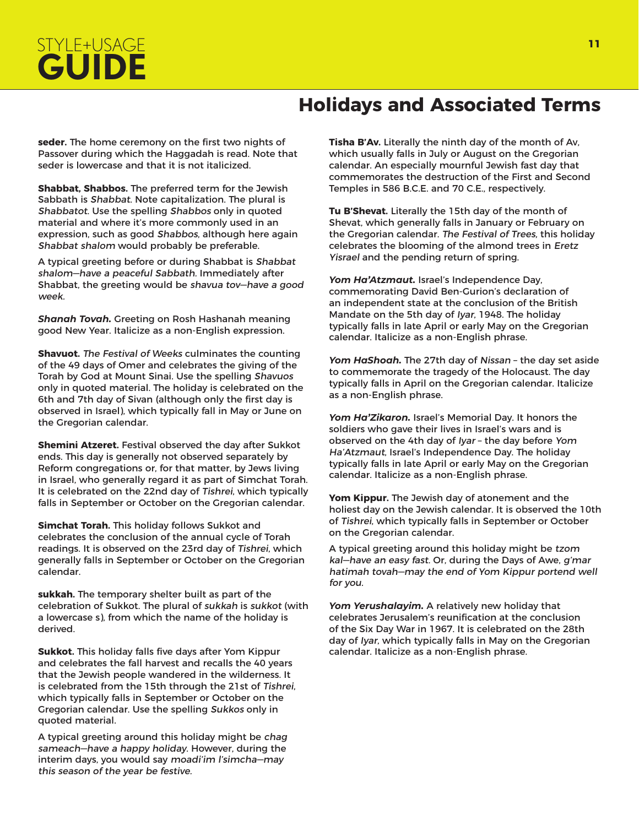### **Holidays and Associated Terms**

**seder.** The home ceremony on the first two nights of Passover during which the Haggadah is read. Note that seder is lowercase and that it is not italicized.

**Shabbat, Shabbos.** The preferred term for the Jewish Sabbath is Shabbat. Note capitalization. The plural is Shabbatot. Use the spelling Shabbos only in quoted material and where it's more commonly used in an expression, such as good Shabbos, although here again Shabbat shalom would probably be preferable.

A typical greeting before or during Shabbat is Shabbat shalom—have a peaceful Sabbath. Immediately after Shabbat, the greeting would be shavua tov—have a good week.

*Shanah Tovah.* Greeting on Rosh Hashanah meaning good New Year. Italicize as a non-English expression.

**Shavuot.** The Festival of Weeks culminates the counting of the 49 days of Omer and celebrates the giving of the Torah by God at Mount Sinai. Use the spelling Shavuos only in quoted material. The holiday is celebrated on the 6th and 7th day of Sivan (although only the first day is observed in Israel), which typically fall in May or June on the Gregorian calendar.

**Shemini Atzeret.** Festival observed the day after Sukkot ends. This day is generally not observed separately by Reform congregations or, for that matter, by Jews living in Israel, who generally regard it as part of Simchat Torah. It is celebrated on the 22nd day of Tishrei, which typically falls in September or October on the Gregorian calendar.

**Simchat Torah.** This holiday follows Sukkot and celebrates the conclusion of the annual cycle of Torah readings. It is observed on the 23rd day of Tishrei, which generally falls in September or October on the Gregorian calendar.

**sukkah.** The temporary shelter built as part of the celebration of Sukkot. The plural of sukkah is sukkot (with a lowercase s), from which the name of the holiday is derived.

**Sukkot.** This holiday falls five days after Yom Kippur and celebrates the fall harvest and recalls the 40 years that the Jewish people wandered in the wilderness. It is celebrated from the 15th through the 21st of Tishrei, which typically falls in September or October on the Gregorian calendar. Use the spelling Sukkos only in quoted material.

A typical greeting around this holiday might be chag sameach—have a happy holiday. However, during the interim days, you would say moadi'im l'simcha—may this season of the year be festive.

**Tisha B'Av.** Literally the ninth day of the month of Av, which usually falls in July or August on the Gregorian calendar. An especially mournful Jewish fast day that commemorates the destruction of the First and Second Temples in 586 B.C.E. and 70 C.E., respectively.

**Tu B'Shevat.** Literally the 15th day of the month of Shevat, which generally falls in January or February on the Gregorian calendar. The Festival of Trees, this holiday celebrates the blooming of the almond trees in Eretz Yisrael and the pending return of spring.

*Yom Ha'Atzmaut.* Israel's Independence Day, commemorating David Ben-Gurion's declaration of an independent state at the conclusion of the British Mandate on the 5th day of Iyar, 1948. The holiday typically falls in late April or early May on the Gregorian calendar. Italicize as a non-English phrase.

*Yom HaShoah.* The 27th day of Nissan – the day set aside to commemorate the tragedy of the Holocaust. The day typically falls in April on the Gregorian calendar. Italicize as a non-English phrase.

*Yom Ha'Zikaron.* Israel's Memorial Day. It honors the soldiers who gave their lives in Israel's wars and is observed on the 4th day of Iyar – the day before Yom Ha'Atzmaut, Israel's Independence Day. The holiday typically falls in late April or early May on the Gregorian calendar. Italicize as a non-English phrase.

**Yom Kippur.** The Jewish day of atonement and the holiest day on the Jewish calendar. It is observed the 10th of Tishrei, which typically falls in September or October on the Gregorian calendar.

A typical greeting around this holiday might be tzom kal—have an easy fast. Or, during the Days of Awe, g'mar hatimah tovah—may the end of Yom Kippur portend well for you.

*Yom Yerushalayim.* A relatively new holiday that celebrates Jerusalem's reunification at the conclusion of the Six Day War in 1967. It is celebrated on the 28th day of Iyar, which typically falls in May on the Gregorian calendar. Italicize as a non-English phrase.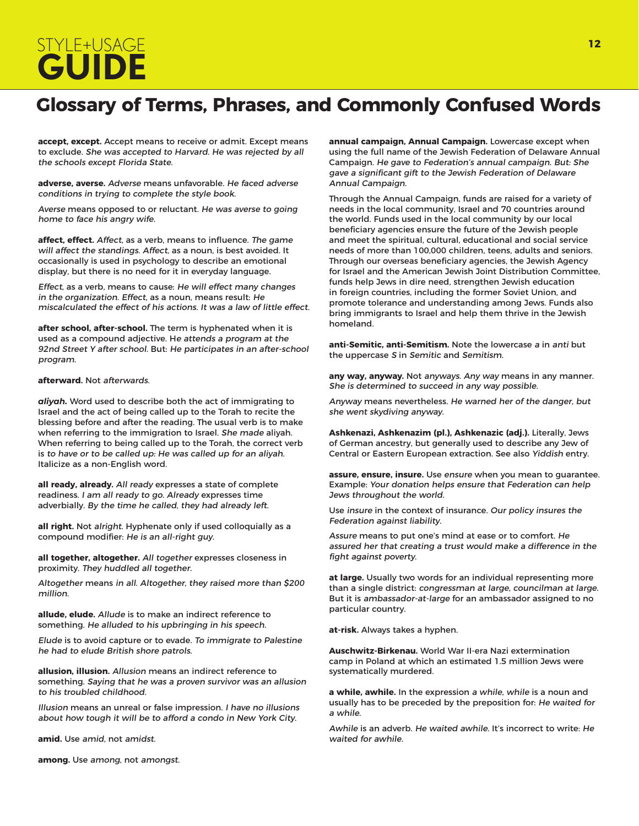# STYLE+USAGE **<sup>12</sup> GUIDE**

### **Glossary of Terms, Phrases, and Commonly Confused Words**

**accept, except.** Accept means to receive or admit. Except means to exclude. She was accepted to Harvard. He was rejected by all the schools except Florida State.

**adverse, averse.** Adverse means unfavorable. He faced adverse conditions in trying to complete the style book.

Averse means opposed to or reluctant. He was averse to going home to face his angry wife.

**affect, effect.** Affect, as a verb, means to influence. The game will affect the standings. Affect, as a noun, is best avoided. It occasionally is used in psychology to describe an emotional display, but there is no need for it in everyday language.

Effect, as a verb, means to cause: He will effect many changes in the organization. Effect, as a noun, means result: He miscalculated the effect of his actions. It was a law of little effect.

**after school, after-school.** The term is hyphenated when it is used as a compound adjective. He attends a program at the 92nd Street Y after school. But: He participates in an after-school program.

#### **afterward.** Not afterwards.

*aliyah.* Word used to describe both the act of immigrating to Israel and the act of being called up to the Torah to recite the blessing before and after the reading. The usual verb is to make when referring to the immigration to Israel. She made aliyah. When referring to being called up to the Torah, the correct verb is to have or to be called up: He was called up for an aliyah. Italicize as a non-English word.

**all ready, already.** All ready expresses a state of complete readiness. I am all ready to go. Already expresses time adverbially. By the time he called, they had already left.

**all right.** Not alright. Hyphenate only if used colloquially as a compound modifier: He is an all-right guy.

**all together, altogether.** All together expresses closeness in proximity. They huddled all together.

Altogether means in all. Altogether, they raised more than \$200 million.

**allude, elude.** Allude is to make an indirect reference to something. He alluded to his upbringing in his speech.

Elude is to avoid capture or to evade. To immigrate to Palestine he had to elude British shore patrols.

**allusion, illusion.** Allusion means an indirect reference to something. Saying that he was a proven survivor was an allusion to his troubled childhood.

Illusion means an unreal or false impression. I have no illusions about how tough it will be to afford a condo in New York City.

**amid.** Use amid, not amidst.

**among.** Use among, not amongst.

**annual campaign, Annual Campaign.** Lowercase except when using the full name of the Jewish Federation of Delaware Annual Campaign. He gave to Federation's annual campaign. But: She gave a significant gift to the Jewish Federation of Delaware Annual Campaign.

Through the Annual Campaign, funds are raised for a variety of needs in the local community, Israel and 70 countries around the world. Funds used in the local community by our local beneficiary agencies ensure the future of the Jewish people and meet the spiritual, cultural, educational and social service needs of more than 100,000 children, teens, adults and seniors. Through our overseas beneficiary agencies, the Jewish Agency for Israel and the American Jewish Joint Distribution Committee, funds help Jews in dire need, strengthen Jewish education in foreign countries, including the former Soviet Union, and promote tolerance and understanding among Jews. Funds also bring immigrants to Israel and help them thrive in the Jewish homeland.

**anti-Semitic, anti-Semitism.** Note the lowercase a in anti but the uppercase S in Semitic and Semitism.

**any way, anyway.** Not anyways. Any way means in any manner. She is determined to succeed in any way possible.

Anyway means nevertheless. He warned her of the danger, but she went skydiving anyway.

**Ashkenazi, Ashkenazim (pl.), Ashkenazic (adj.).** Literally, Jews of German ancestry, but generally used to describe any Jew of Central or Eastern European extraction. See also Yiddish entry.

**assure, ensure, insure.** Use ensure when you mean to guarantee. Example: Your donation helps ensure that Federation can help Jews throughout the world.

Use insure in the context of insurance. Our policy insures the Federation against liability.

Assure means to put one's mind at ease or to comfort. He assured her that creating a trust would make a difference in the fight against poverty.

**at large.** Usually two words for an individual representing more than a single district: congressman at large, councilman at large. But it is ambassador-at-large for an ambassador assigned to no particular country.

**at-risk.** Always takes a hyphen.

**Auschwitz-Birkenau.** World War II-era Nazi extermination camp in Poland at which an estimated 1.5 million Jews were systematically murdered.

**a while, awhile.** In the expression a while, while is a noun and usually has to be preceded by the preposition for: He waited for a while.

Awhile is an adverb. He waited awhile. It's incorrect to write: He waited for awhile.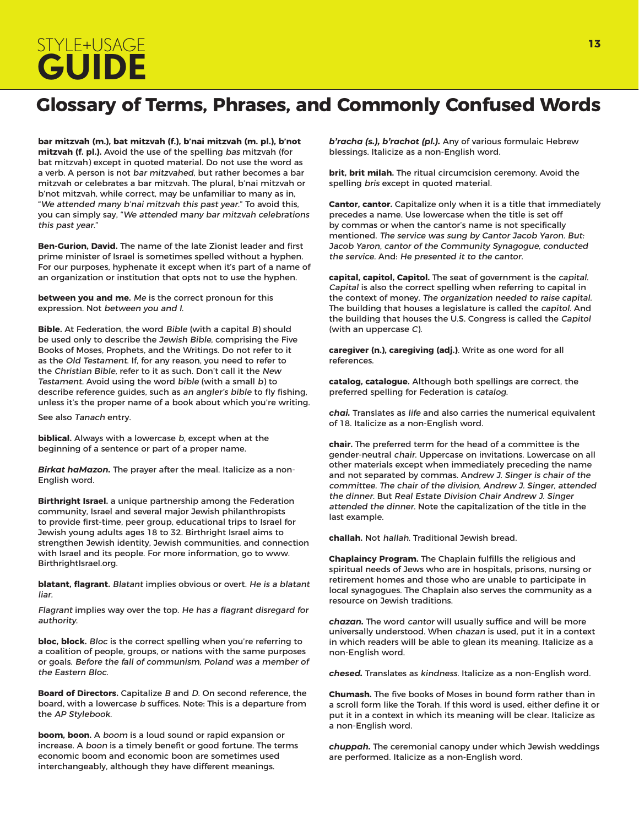# STYLE+USAGE **<sup>13</sup> GUIDE**

## **Glossary of Terms, Phrases, and Commonly Confused Words**

**bar mitzvah (m.), bat mitzvah (f.), b'nai mitzvah (m. pl.), b'not mitzvah (f. pl.).** Avoid the use of the spelling bas mitzvah (for bat mitzvah) except in quoted material. Do not use the word as a verb. A person is not bar mitzvahed, but rather becomes a bar mitzvah or celebrates a bar mitzvah. The plural, b'nai mitzvah or b'not mitzvah, while correct, may be unfamiliar to many as in, "We attended many b'nai mitzvah this past year." To avoid this, you can simply say, "We attended many bar mitzvah celebrations this past year."

**Ben-Gurion, David.** The name of the late Zionist leader and first prime minister of Israel is sometimes spelled without a hyphen. For our purposes, hyphenate it except when it's part of a name of an organization or institution that opts not to use the hyphen.

**between you and me.** Me is the correct pronoun for this expression. Not between you and I.

**Bible.** At Federation, the word Bible (with a capital B) should be used only to describe the Jewish Bible, comprising the Five Books of Moses, Prophets, and the Writings. Do not refer to it as the Old Testament. If, for any reason, you need to refer to the Christian Bible, refer to it as such. Don't call it the New Testament. Avoid using the word bible (with a small b) to describe reference guides, such as an angler's bible to fly fishing, unless it's the proper name of a book about which you're writing.

See also Tanach entry.

**biblical.** Always with a lowercase b, except when at the beginning of a sentence or part of a proper name.

*Birkat haMazon.* The prayer after the meal. Italicize as a non-English word.

**Birthright Israel.** a unique partnership among the Federation community, Israel and several major Jewish philanthropists to provide first-time, peer group, educational trips to Israel for Jewish young adults ages 18 to 32. Birthright Israel aims to strengthen Jewish identity, Jewish communities, and connection with Israel and its people. For more information, go to www. BirthrightIsrael.org.

**blatant, flagrant.** Blatant implies obvious or overt. He is a blatant liar.

Flagrant implies way over the top. He has a flagrant disregard for authority.

**bloc, block.** Bloc is the correct spelling when you're referring to a coalition of people, groups, or nations with the same purposes or goals. Before the fall of communism, Poland was a member of the Eastern Bloc.

**Board of Directors.** Capitalize B and D. On second reference, the board, with a lowercase b suffices. Note: This is a departure from the AP Stylebook.

**boom, boon.** A boom is a loud sound or rapid expansion or increase. A boon is a timely benefit or good fortune. The terms economic boom and economic boon are sometimes used interchangeably, although they have different meanings.

*b'racha (s.), b'rachot (pl.).* Any of various formulaic Hebrew blessings. Italicize as a non-English word.

**brit, brit milah.** The ritual circumcision ceremony. Avoid the spelling bris except in quoted material.

**Cantor, cantor.** Capitalize only when it is a title that immediately precedes a name. Use lowercase when the title is set off by commas or when the cantor's name is not specifically mentioned. The service was sung by Cantor Jacob Yaron. But: Jacob Yaron, cantor of the Community Synagogue, conducted the service. And: He presented it to the cantor.

**capital, capitol, Capitol.** The seat of government is the capital. Capital is also the correct spelling when referring to capital in the context of money. The organization needed to raise capital. The building that houses a legislature is called the capitol. And the building that houses the U.S. Congress is called the Capitol (with an uppercase C).

**caregiver (n.), caregiving (adj.)**. Write as one word for all references.

**catalog, catalogue.** Although both spellings are correct, the preferred spelling for Federation is catalog.

*chai.* Translates as life and also carries the numerical equivalent of 18. Italicize as a non-English word.

**chair.** The preferred term for the head of a committee is the gender-neutral chair. Uppercase on invitations. Lowercase on all other materials except when immediately preceding the name and not separated by commas. Andrew J. Singer is chair of the committee. The chair of the division, Andrew J. Singer, attended the dinner. But Real Estate Division Chair Andrew J. Singer attended the dinner. Note the capitalization of the title in the last example.

**challah.** Not hallah. Traditional Jewish bread.

**Chaplaincy Program.** The Chaplain fulfills the religious and spiritual needs of Jews who are in hospitals, prisons, nursing or retirement homes and those who are unable to participate in local synagogues. The Chaplain also serves the community as a resource on Jewish traditions.

*chazan.* The word cantor will usually suffice and will be more universally understood. When chazan is used, put it in a context in which readers will be able to glean its meaning. Italicize as a non-English word.

*chesed.* Translates as kindness. Italicize as a non-English word.

**Chumash.** The five books of Moses in bound form rather than in a scroll form like the Torah. If this word is used, either define it or put it in a context in which its meaning will be clear. Italicize as a non-English word.

*chuppah.* The ceremonial canopy under which Jewish weddings are performed. Italicize as a non-English word.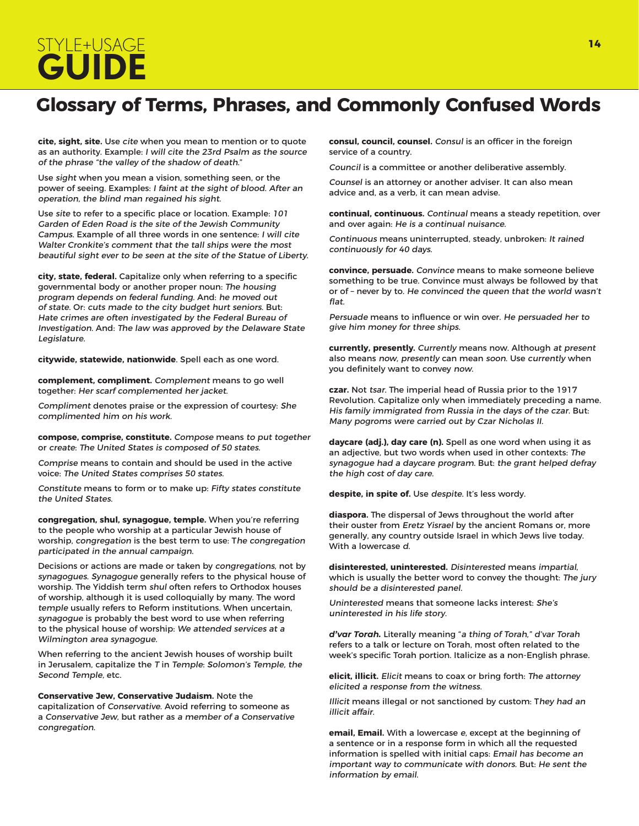# STYLE+USAGE **<sup>14</sup> GUIDE**

### **Glossary of Terms, Phrases, and Commonly Confused Words**

**cite, sight, site.** Use cite when you mean to mention or to quote as an authority. Example: I will cite the 23rd Psalm as the source of the phrase "the valley of the shadow of death."

Use sight when you mean a vision, something seen, or the power of seeing. Examples: I faint at the sight of blood. After an operation, the blind man regained his sight.

Use site to refer to a specific place or location. Example: 101 Garden of Eden Road is the site of the Jewish Community Campus. Example of all three words in one sentence: I will cite Walter Cronkite's comment that the tall ships were the most beautiful sight ever to be seen at the site of the Statue of Liberty.

**city, state, federal.** Capitalize only when referring to a specific governmental body or another proper noun: The housing program depends on federal funding. And: he moved out of state. Or: cuts made to the city budget hurt seniors. But: Hate crimes are often investigated by the Federal Bureau of Investigation. And: The law was approved by the Delaware State Legislature.

**citywide, statewide, nationwide**. Spell each as one word.

**complement, compliment.** Complement means to go well together: Her scarf complemented her jacket.

Compliment denotes praise or the expression of courtesy: She complimented him on his work.

**compose, comprise, constitute.** Compose means to put together or create: The United States is composed of 50 states.

Comprise means to contain and should be used in the active voice: The United States comprises 50 states.

Constitute means to form or to make up: Fifty states constitute the United States.

**congregation, shul, synagogue, temple.** When you're referring to the people who worship at a particular Jewish house of worship, congregation is the best term to use: The congregation participated in the annual campaign.

Decisions or actions are made or taken by congregations, not by synagogues. Synagogue generally refers to the physical house of worship. The Yiddish term shul often refers to Orthodox houses of worship, although it is used colloquially by many. The word temple usually refers to Reform institutions. When uncertain, synagogue is probably the best word to use when referring to the physical house of worship: We attended services at a Wilmington area synagogue.

When referring to the ancient Jewish houses of worship built in Jerusalem, capitalize the T in Temple: Solomon's Temple, the Second Temple, etc.

**Conservative Jew, Conservative Judaism.** Note the

capitalization of Conservative. Avoid referring to someone as a Conservative Jew, but rather as a member of a Conservative congregation.

**consul, council, counsel.** Consul is an officer in the foreign service of a country.

Council is a committee or another deliberative assembly.

Counsel is an attorney or another adviser. It can also mean advice and, as a verb, it can mean advise.

**continual, continuous.** Continual means a steady repetition, over and over again: He is a continual nuisance.

Continuous means uninterrupted, steady, unbroken: It rained continuously for 40 days.

**convince, persuade.** Convince means to make someone believe something to be true. Convince must always be followed by that or of – never by to. He convinced the queen that the world wasn't flat.

Persuade means to influence or win over. He persuaded her to give him money for three ships.

**currently, presently.** Currently means now. Although at present also means now, presently can mean soon. Use currently when you definitely want to convey now.

**czar.** Not tsar. The imperial head of Russia prior to the 1917 Revolution. Capitalize only when immediately preceding a name. His family immigrated from Russia in the days of the czar. But: Many pogroms were carried out by Czar Nicholas II.

**daycare (adj.), day care (n).** Spell as one word when using it as an adjective, but two words when used in other contexts: The synagogue had a daycare program. But: the grant helped defray the high cost of day care.

**despite, in spite of.** Use despite. It's less wordy.

**diaspora.** The dispersal of Jews throughout the world after their ouster from Eretz Yisrael by the ancient Romans or, more generally, any country outside Israel in which Jews live today. With a lowercase d.

**disinterested, uninterested.** Disinterested means impartial, which is usually the better word to convey the thought: The jury should be a disinterested panel.

Uninterested means that someone lacks interest: She's uninterested in his life story.

*d'var Torah.* Literally meaning "a thing of Torah," d'var Torah refers to a talk or lecture on Torah, most often related to the week's specific Torah portion. Italicize as a non-English phrase.

**elicit, illicit.** Elicit means to coax or bring forth: The attorney elicited a response from the witness.

Illicit means illegal or not sanctioned by custom: They had an illicit affair.

**email, Email.** With a lowercase e, except at the beginning of a sentence or in a response form in which all the requested information is spelled with initial caps: Email has become an important way to communicate with donors. But: He sent the information by email.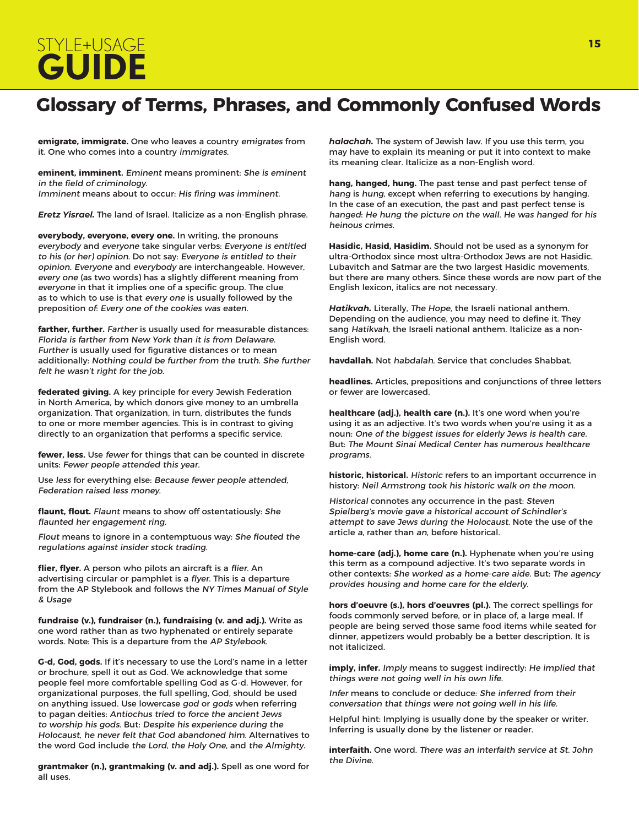# STYLE+USAGE **<sup>15</sup> GUIDE**

### **Glossary of Terms, Phrases, and Commonly Confused Words**

**emigrate, immigrate.** One who leaves a country emigrates from it. One who comes into a country immigrates.

**eminent, imminent.** Eminent means prominent: She is eminent in the field of criminology. Imminent means about to occur: His firing was imminent.

*Eretz Yisrael.* The land of Israel. Italicize as a non-English phrase.

**everybody, everyone, every one.** In writing, the pronouns everybody and everyone take singular verbs: Everyone is entitled to his (or her) opinion. Do not say: Everyone is entitled to their opinion. Everyone and everybody are interchangeable. However, every one (as two words) has a slightly different meaning from everyone in that it implies one of a specific group. The clue as to which to use is that every one is usually followed by the preposition of: Every one of the cookies was eaten.

**farther, further.** Farther is usually used for measurable distances: Florida is farther from New York than it is from Delaware. Further is usually used for figurative distances or to mean additionally: Nothing could be further from the truth. She further felt he wasn't right for the job.

**federated giving.** A key principle for every Jewish Federation in North America, by which donors give money to an umbrella organization. That organization, in turn, distributes the funds to one or more member agencies. This is in contrast to giving directly to an organization that performs a specific service.

**fewer, less.** Use fewer for things that can be counted in discrete units: Fewer people attended this year.

Use less for everything else: Because fewer people attended, Federation raised less money.

**flaunt, flout.** Flaunt means to show off ostentatiously: She flaunted her engagement ring.

Flout means to ignore in a contemptuous way: She flouted the regulations against insider stock trading.

**flier, flyer.** A person who pilots an aircraft is a flier. An advertising circular or pamphlet is a flyer. This is a departure from the AP Stylebook and follows the NY Times Manual of Style & Usage

**fundraise (v.), fundraiser (n.), fundraising (v. and adj.).** Write as one word rather than as two hyphenated or entirely separate words. Note: This is a departure from the AP Stylebook.

**G-d, God, gods.** If it's necessary to use the Lord's name in a letter or brochure, spell it out as God. We acknowledge that some people feel more comfortable spelling God as G-d. However, for organizational purposes, the full spelling, God, should be used on anything issued. Use lowercase god or gods when referring to pagan deities: Antiochus tried to force the ancient Jews to worship his gods. But: Despite his experience during the Holocaust, he never felt that God abandoned him. Alternatives to the word God include the Lord, the Holy One, and the Almighty.

**grantmaker (n.), grantmaking (v. and adj.).** Spell as one word for all uses.

*halachah.* The system of Jewish law. If you use this term, you may have to explain its meaning or put it into context to make its meaning clear. Italicize as a non-English word.

**hang, hanged, hung.** The past tense and past perfect tense of hang is hung, except when referring to executions by hanging. In the case of an execution, the past and past perfect tense is hanged: He hung the picture on the wall. He was hanged for his heinous crimes.

**Hasidic, Hasid, Hasidim.** Should not be used as a synonym for ultra-Orthodox since most ultra-Orthodox Jews are not Hasidic. Lubavitch and Satmar are the two largest Hasidic movements, but there are many others. Since these words are now part of the English lexicon, italics are not necessary.

*Hatikvah.* Literally, The Hope, the Israeli national anthem. Depending on the audience, you may need to define it. They sang Hatikvah, the Israeli national anthem. Italicize as a non-English word.

**havdallah.** Not habdalah. Service that concludes Shabbat.

**headlines.** Articles, prepositions and conjunctions of three letters or fewer are lowercased.

**healthcare (adj.), health care (n.).** It's one word when you're using it as an adjective. It's two words when you're using it as a noun: One of the biggest issues for elderly Jews is health care. But: The Mount Sinai Medical Center has numerous healthcare programs.

**historic, historical.** Historic refers to an important occurrence in history: Neil Armstrong took his historic walk on the moon.

Historical connotes any occurrence in the past: Steven Spielberg's movie gave a historical account of Schindler's attempt to save Jews during the Holocaust. Note the use of the article a, rather than an, before historical.

**home-care (adj.), home care (n.).** Hyphenate when you're using this term as a compound adjective. It's two separate words in other contexts: She worked as a home-care aide. But: The agency provides housing and home care for the elderly.

**hors d'oeuvre (s.), hors d'oeuvres (pl.).** The correct spellings for foods commonly served before, or in place of, a large meal. If people are being served those same food items while seated for dinner, appetizers would probably be a better description. It is not italicized.

**imply, infer.** Imply means to suggest indirectly: He implied that things were not going well in his own life.

Infer means to conclude or deduce: She inferred from their conversation that things were not going well in his life.

Helpful hint: Implying is usually done by the speaker or writer. Inferring is usually done by the listener or reader.

**interfaith.** One word. There was an interfaith service at St. John the Divine.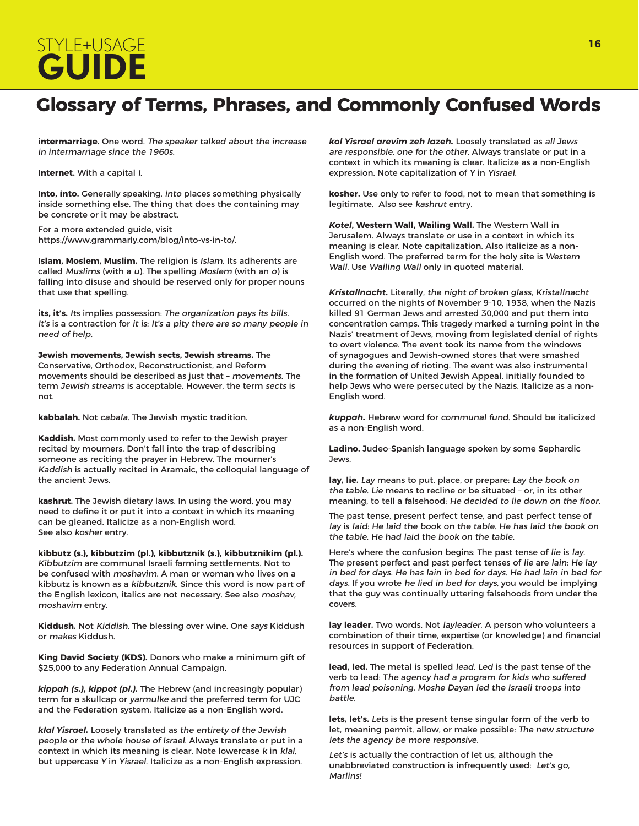# STYLE+USAGE **<sup>16</sup> GUIDE**

### **Glossary of Terms, Phrases, and Commonly Confused Words**

**intermarriage.** One word. The speaker talked about the increase in intermarriage since the 1960s.

**Internet.** With a capital I.

**Into, into.** Generally speaking, into places something physically inside something else. The thing that does the containing may be concrete or it may be abstract.

For a more extended guide, visit https://www.grammarly.com/blog/into-vs-in-to/.

**Islam, Moslem, Muslim.** The religion is Islam. Its adherents are called Muslims (with a u). The spelling Moslem (with an o) is falling into disuse and should be reserved only for proper nouns that use that spelling.

its, it's. Its implies possession: The organization pays its bills. It's is a contraction for it is: It's a pity there are so many people in need of help.

**Jewish movements, Jewish sects, Jewish streams.** The Conservative, Orthodox, Reconstructionist, and Reform movements should be described as just that – movements. The term Jewish streams is acceptable. However, the term sects is not.

**kabbalah.** Not cabala. The Jewish mystic tradition.

**Kaddish.** Most commonly used to refer to the Jewish prayer recited by mourners. Don't fall into the trap of describing someone as reciting the prayer in Hebrew. The mourner's Kaddish is actually recited in Aramaic, the colloquial language of the ancient Jews.

**kashrut.** The Jewish dietary laws. In using the word, you may need to define it or put it into a context in which its meaning can be gleaned. Italicize as a non-English word. See also kosher entry.

**kibbutz (s.), kibbutzim (pl.), kibbutznik (s.), kibbutznikim (pl.).**  Kibbutzim are communal Israeli farming settlements. Not to be confused with moshavim. A man or woman who lives on a kibbutz is known as a kibbutznik. Since this word is now part of the English lexicon, italics are not necessary. See also moshav, moshavim entry.

**Kiddush.** Not Kiddish. The blessing over wine. One says Kiddush or makes Kiddush.

**King David Society (KDS).** Donors who make a minimum gift of \$25,000 to any Federation Annual Campaign.

*kippah (s.), kippot (pl.).* The Hebrew (and increasingly popular) term for a skullcap or yarmulke and the preferred term for UJC and the Federation system. Italicize as a non-English word.

*klal Yisrael.* Loosely translated as the entirety of the Jewish people or the whole house of Israel. Always translate or put in a context in which its meaning is clear. Note lowercase k in klal, but uppercase Y in Yisrael. Italicize as a non-English expression.

*kol Yisrael arevim zeh lazeh.* Loosely translated as all Jews are responsible, one for the other. Always translate or put in a context in which its meaning is clear. Italicize as a non-English expression. Note capitalization of Y in Yisrael.

**kosher.** Use only to refer to food, not to mean that something is legitimate. Also see kashrut entry.

*Kotel***, Western Wall, Wailing Wall.** The Western Wall in Jerusalem. Always translate or use in a context in which its meaning is clear. Note capitalization. Also italicize as a non-English word. The preferred term for the holy site is Western Wall. Use Wailing Wall only in quoted material.

*Kristallnacht.* Literally, the night of broken glass, Kristallnacht occurred on the nights of November 9-10, 1938, when the Nazis killed 91 German Jews and arrested 30,000 and put them into concentration camps. This tragedy marked a turning point in the Nazis' treatment of Jews, moving from legislated denial of rights to overt violence. The event took its name from the windows of synagogues and Jewish-owned stores that were smashed during the evening of rioting. The event was also instrumental in the formation of United Jewish Appeal, initially founded to help Jews who were persecuted by the Nazis. Italicize as a non-English word.

*kuppah.* Hebrew word for communal fund. Should be italicized as a non-English word.

**Ladino.** Judeo-Spanish language spoken by some Sephardic Jews.

**lay, lie.** Lay means to put, place, or prepare: Lay the book on the table. Lie means to recline or be situated – or, in its other meaning, to tell a falsehood: He decided to lie down on the floor.

The past tense, present perfect tense, and past perfect tense of lay is laid: He laid the book on the table. He has laid the book on the table. He had laid the book on the table.

Here's where the confusion begins: The past tense of lie is lay. The present perfect and past perfect tenses of lie are lain: He lay in bed for days. He has lain in bed for days. He had lain in bed for days. If you wrote he lied in bed for days, you would be implying that the guy was continually uttering falsehoods from under the covers.

**lay leader.** Two words. Not layleader. A person who volunteers a combination of their time, expertise (or knowledge) and financial resources in support of Federation.

**lead, led.** The metal is spelled lead. Led is the past tense of the verb to lead: The agency had a program for kids who suffered from lead poisoning. Moshe Dayan led the Israeli troops into battle.

**lets, let's.** Lets is the present tense singular form of the verb to let, meaning permit, allow, or make possible: The new structure lets the agency be more responsive.

Let's is actually the contraction of let us, although the unabbreviated construction is infrequently used: Let's go, Marlins!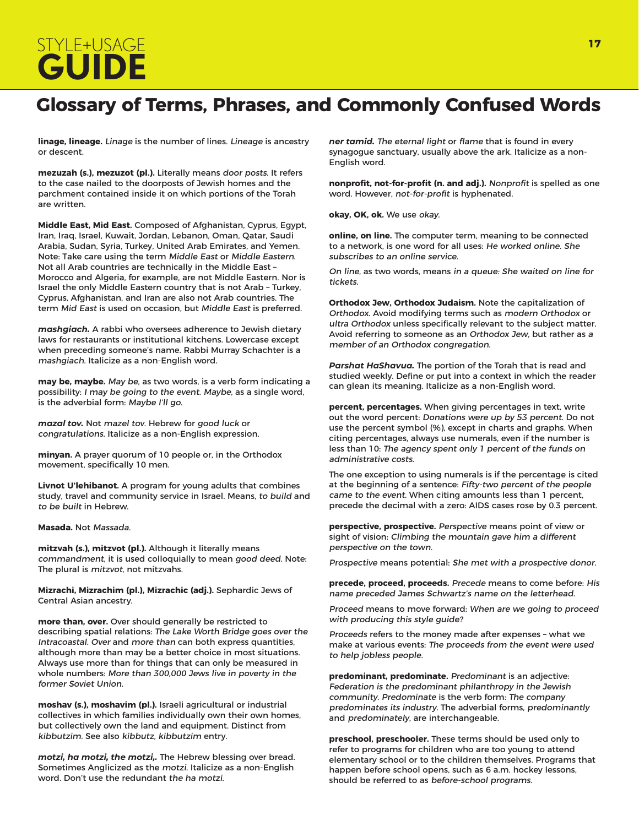# STYLE+USAGE **<sup>17</sup> GUIDE**

### **Glossary of Terms, Phrases, and Commonly Confused Words**

**linage, lineage.** Linage is the number of lines. Lineage is ancestry or descent.

**mezuzah (s.), mezuzot (pl.).** Literally means door posts. It refers to the case nailed to the doorposts of Jewish homes and the parchment contained inside it on which portions of the Torah are written.

**Middle East, Mid East.** Composed of Afghanistan, Cyprus, Egypt, Iran, Iraq, Israel, Kuwait, Jordan, Lebanon, Oman, Qatar, Saudi Arabia, Sudan, Syria, Turkey, United Arab Emirates, and Yemen. Note: Take care using the term Middle East or Middle Eastern. Not all Arab countries are technically in the Middle East – Morocco and Algeria, for example, are not Middle Eastern. Nor is Israel the only Middle Eastern country that is not Arab – Turkey, Cyprus, Afghanistan, and Iran are also not Arab countries. The term Mid East is used on occasion, but Middle East is preferred.

*mashgiach.* A rabbi who oversees adherence to Jewish dietary laws for restaurants or institutional kitchens. Lowercase except when preceding someone's name. Rabbi Murray Schachter is a mashgiach. Italicize as a non-English word.

**may be, maybe.** May be, as two words, is a verb form indicating a possibility: I may be going to the event. Maybe, as a single word, is the adverbial form: Maybe I'll go.

*mazal tov.* Not mazel tov. Hebrew for good luck or congratulations. Italicize as a non-English expression.

**minyan.** A prayer quorum of 10 people or, in the Orthodox movement, specifically 10 men.

**Livnot U'lehibanot.** A program for young adults that combines study, travel and community service in Israel. Means, to build and to be built in Hebrew.

**Masada.** Not Massada.

**mitzvah (s.), mitzvot (pl.).** Although it literally means commandment, it is used colloquially to mean good deed. Note: The plural is mitzvot, not mitzvahs.

**Mizrachi, Mizrachim (pl.), Mizrachic (adj.).** Sephardic Jews of Central Asian ancestry.

**more than, over.** Over should generally be restricted to describing spatial relations: The Lake Worth Bridge goes over the Intracoastal. Over and more than can both express quantities, although more than may be a better choice in most situations. Always use more than for things that can only be measured in whole numbers: More than 300,000 Jews live in poverty in the former Soviet Union.

**moshav (s.), moshavim (pl.).** Israeli agricultural or industrial collectives in which families individually own their own homes, but collectively own the land and equipment. Distinct from kibbutzim. See also kibbutz, kibbutzim entry.

*motzi, ha motzi, the motzi,.* The Hebrew blessing over bread. Sometimes Anglicized as the motzi. Italicize as a non-English word. Don't use the redundant the ha motzi.

*ner tamid.* The eternal light or flame that is found in every synagogue sanctuary, usually above the ark. Italicize as a non-English word.

**nonprofit, not-for-profit (n. and adj.).** Nonprofit is spelled as one word. However, not-for-profit is hyphenated.

**okay, OK, ok.** We use okay.

**online, on line.** The computer term, meaning to be connected to a network, is one word for all uses: He worked online. She subscribes to an online service.

On line, as two words, means in a queue: She waited on line for tickets.

**Orthodox Jew, Orthodox Judaism.** Note the capitalization of Orthodox. Avoid modifying terms such as modern Orthodox or ultra Orthodox unless specifically relevant to the subject matter. Avoid referring to someone as an Orthodox Jew, but rather as <sup>a</sup> member of an Orthodox congregation.

*Parshat HaShavua.* The portion of the Torah that is read and studied weekly. Define or put into a context in which the reader can glean its meaning. Italicize as a non-English word.

**percent, percentages.** When giving percentages in text, write out the word percent: Donations were up by 53 percent. Do not use the percent symbol (%), except in charts and graphs. When citing percentages, always use numerals, even if the number is less than 10: The agency spent only 1 percent of the funds on administrative costs.

The one exception to using numerals is if the percentage is cited at the beginning of a sentence: Fifty-two percent of the people came to the event. When citing amounts less than 1 percent, precede the decimal with a zero: AIDS cases rose by 0.3 percent.

**perspective, prospective.** Perspective means point of view or sight of vision: Climbing the mountain gave him a different perspective on the town.

Prospective means potential: She met with a prospective donor.

**precede, proceed, proceeds.** Precede means to come before: His name preceded James Schwartz's name on the letterhead.

Proceed means to move forward: When are we going to proceed with producing this style guide?

Proceeds refers to the money made after expenses – what we make at various events: The proceeds from the event were used to help jobless people.

**predominant, predominate.** Predominant is an adjective: Federation is the predominant philanthropy in the Jewish community. Predominate is the verb form: The company predominates its industry. The adverbial forms, predominantly and predominately, are interchangeable.

**preschool, preschooler.** These terms should be used only to refer to programs for children who are too young to attend elementary school or to the children themselves. Programs that happen before school opens, such as 6 a.m. hockey lessons, should be referred to as before-school programs.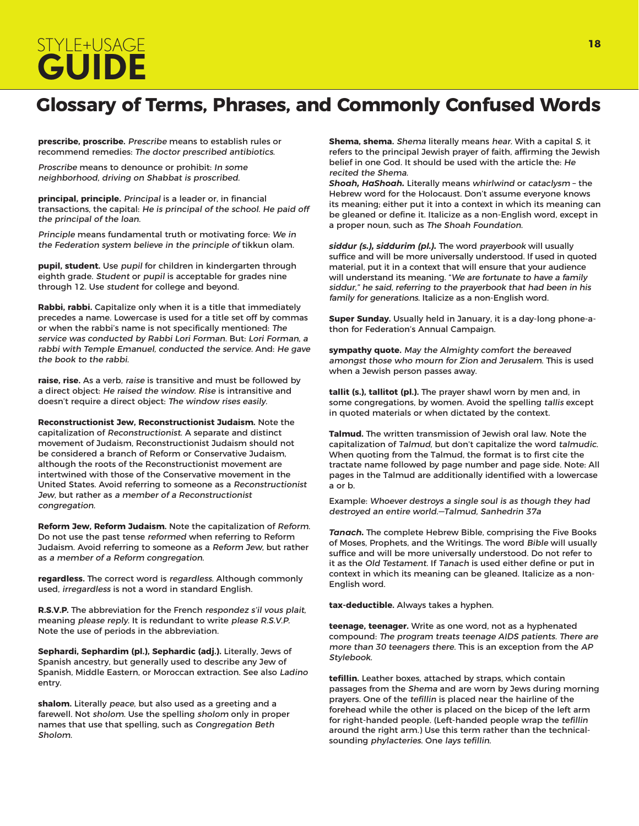# STYLE+USAGE **<sup>18</sup> GUIDE**

### **Glossary of Terms, Phrases, and Commonly Confused Words**

**prescribe, proscribe.** Prescribe means to establish rules or recommend remedies: The doctor prescribed antibiotics.

Proscribe means to denounce or prohibit: In some neighborhood, driving on Shabbat is proscribed.

**principal, principle.** Principal is a leader or, in financial transactions, the capital: He is principal of the school. He paid off the principal of the loan.

Principle means fundamental truth or motivating force: We in the Federation system believe in the principle of tikkun olam.

**pupil, student.** Use pupil for children in kindergarten through eighth grade. Student or pupil is acceptable for grades nine through 12. Use student for college and beyond.

**Rabbi, rabbi.** Capitalize only when it is a title that immediately precedes a name. Lowercase is used for a title set off by commas or when the rabbi's name is not specifically mentioned: The service was conducted by Rabbi Lori Forman. But: Lori Forman, a rabbi with Temple Emanuel, conducted the service. And: He gave the book to the rabbi.

**raise, rise.** As a verb, raise is transitive and must be followed by a direct object: He raised the window. Rise is intransitive and doesn't require a direct object: The window rises easily.

**Reconstructionist Jew, Reconstructionist Judaism.** Note the capitalization of Reconstructionist. A separate and distinct movement of Judaism, Reconstructionist Judaism should not be considered a branch of Reform or Conservative Judaism, although the roots of the Reconstructionist movement are intertwined with those of the Conservative movement in the United States. Avoid referring to someone as a Reconstructionist Jew, but rather as a member of a Reconstructionist congregation.

**Reform Jew, Reform Judaism.** Note the capitalization of Reform. Do not use the past tense reformed when referring to Reform Judaism. Avoid referring to someone as a Reform Jew, but rather as a member of a Reform congregation.

**regardless.** The correct word is regardless. Although commonly used, irregardless is not a word in standard English.

**R.S.V.P.** The abbreviation for the French respondez s'il vous plait, meaning please reply. It is redundant to write please R.S.V.P. Note the use of periods in the abbreviation.

**Sephardi, Sephardim (pl.), Sephardic (adj.).** Literally, Jews of Spanish ancestry, but generally used to describe any Jew of Spanish, Middle Eastern, or Moroccan extraction. See also Ladino entry.

**shalom.** Literally peace, but also used as a greeting and a farewell. Not sholom. Use the spelling sholom only in proper names that use that spelling, such as Congregation Beth Sholom.

**Shema, shema.** Shema literally means hear. With a capital S, it refers to the principal Jewish prayer of faith, affirming the Jewish belief in one God. It should be used with the article the: He recited the Shema.

*Shoah, HaShoah.* Literally means whirlwind or cataclysm – the Hebrew word for the Holocaust. Don't assume everyone knows its meaning; either put it into a context in which its meaning can be gleaned or define it. Italicize as a non-English word, except in a proper noun, such as The Shoah Foundation.

*siddur (s.), siddurim (pl.).* The word prayerbook will usually suffice and will be more universally understood. If used in quoted material, put it in a context that will ensure that your audience will understand its meaning. "We are fortunate to have a family siddur," he said, referring to the prayerbook that had been in his family for generations. Italicize as a non-English word.

**Super Sunday.** Usually held in January, it is a day-long phone-athon for Federation's Annual Campaign.

**sympathy quote.** May the Almighty comfort the bereaved amongst those who mourn for Zion and Jerusalem. This is used when a Jewish person passes away.

**tallit (s.), tallitot (pl.).** The prayer shawl worn by men and, in some congregations, by women. Avoid the spelling tallis except in quoted materials or when dictated by the context.

**Talmud.** The written transmission of Jewish oral law. Note the capitalization of Talmud, but don't capitalize the word talmudic. When quoting from the Talmud, the format is to first cite the tractate name followed by page number and page side. Note: All pages in the Talmud are additionally identified with a lowercase a or b.

Example: Whoever destroys a single soul is as though they had destroyed an entire world.—Talmud, Sanhedrin 37a

*Tanach.* The complete Hebrew Bible, comprising the Five Books of Moses, Prophets, and the Writings. The word Bible will usually suffice and will be more universally understood. Do not refer to it as the Old Testament. If Tanach is used either define or put in context in which its meaning can be gleaned. Italicize as a non-English word.

**tax-deductible.** Always takes a hyphen.

**teenage, teenager.** Write as one word, not as a hyphenated compound: The program treats teenage AIDS patients. There are more than 30 teenagers there. This is an exception from the AP Stylebook.

**tefillin.** Leather boxes, attached by straps, which contain passages from the Shema and are worn by Jews during morning prayers. One of the tefillin is placed near the hairline of the forehead while the other is placed on the bicep of the left arm for right-handed people. (Left-handed people wrap the tefillin around the right arm.) Use this term rather than the technicalsounding phylacteries. One lays tefillin.